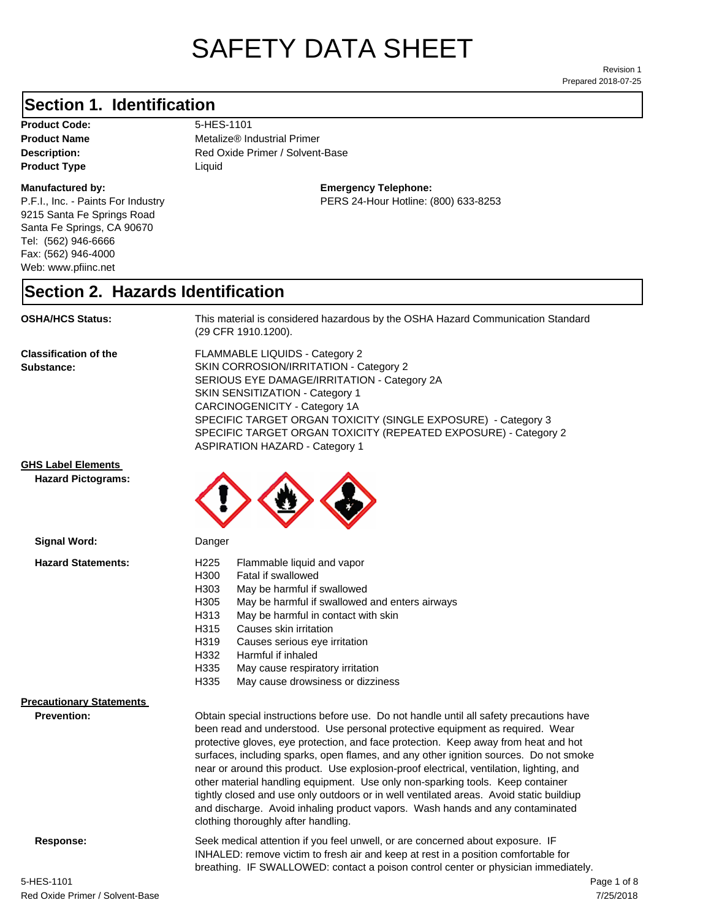# SAFETY DATA SHEET

Prepared 2018-07-25 Revision 1

#### **Section 1. Identification**

Product Code: 5-HES-1101 **Product Type Liquid Liquid** 

#### **Manufactured by:**

P.F.I., Inc. - Paints For Industry 9215 Santa Fe Springs Road Santa Fe Springs, CA 90670 Tel: (562) 946-6666 Fax: (562) 946-4000 Web: www.pfiinc.net

**Product Name** Metalize® Industrial Primer

**Description:** Red Oxide Primer / Solvent-Base

#### **Emergency Telephone:**

PERS 24-Hour Hotline: (800) 633-8253

#### **Section 2. Hazards Identification**

**OSHA/HCS Status:** This material is considered hazardous by the OSHA Hazard Communication Standard (29 CFR 1910.1200).

**Classification of the Substance:**

FLAMMABLE LIQUIDS - Category 2 SKIN CORROSION/IRRITATION - Category 2 SERIOUS EYE DAMAGE/IRRITATION - Category 2A SKIN SENSITIZATION - Category 1 CARCINOGENICITY - Category 1A SPECIFIC TARGET ORGAN TOXICITY (SINGLE EXPOSURE) - Category 3 SPECIFIC TARGET ORGAN TOXICITY (REPEATED EXPOSURE) - Category 2 ASPIRATION HAZARD - Category 1

other material handling equipment. Use only non-sparking tools. Keep container tightly closed and use only outdoors or in well ventilated areas. Avoid static buildiup and discharge. Avoid inhaling product vapors. Wash hands and any contaminated

INHALED: remove victim to fresh air and keep at rest in a position comfortable for breathing. IF SWALLOWED: contact a poison control center or physician immediately.

#### **GHS Label Elements**

**Signal Word:**

**Hazard Pictograms:**



clothing thoroughly after handling.

| падага экакептенкэ.             | ں ے ے ا          | i iaililiable liuulu allu vabol                                                         |
|---------------------------------|------------------|-----------------------------------------------------------------------------------------|
|                                 | H <sub>300</sub> | Fatal if swallowed                                                                      |
|                                 | H303             | May be harmful if swallowed                                                             |
|                                 | H <sub>305</sub> | May be harmful if swallowed and enters airways                                          |
|                                 | H313             | May be harmful in contact with skin                                                     |
|                                 | H315             | Causes skin irritation                                                                  |
|                                 | H <sub>319</sub> | Causes serious eye irritation                                                           |
|                                 | H332             | Harmful if inhaled                                                                      |
|                                 | H335             | May cause respiratory irritation                                                        |
|                                 | H335             | May cause drowsiness or dizziness                                                       |
| <b>Precautionary Statements</b> |                  |                                                                                         |
| <b>Prevention:</b>              |                  | Obtain special instructions before use. Do not handle until all safety precautions have |
|                                 |                  | been read and understood. Use personal protective equipment as required. Wear           |
|                                 |                  | protective gloves, eye protection, and face protection. Keep away from heat and hot     |
|                                 |                  | surfaces, including sparks, open flames, and any other ignition sources. Do not smoke   |
|                                 |                  | near or around this product. Use explosion-proof electrical, ventilation, lighting, and |

**Response:** Seek medical attention if you feel unwell, or are concerned about exposure. IF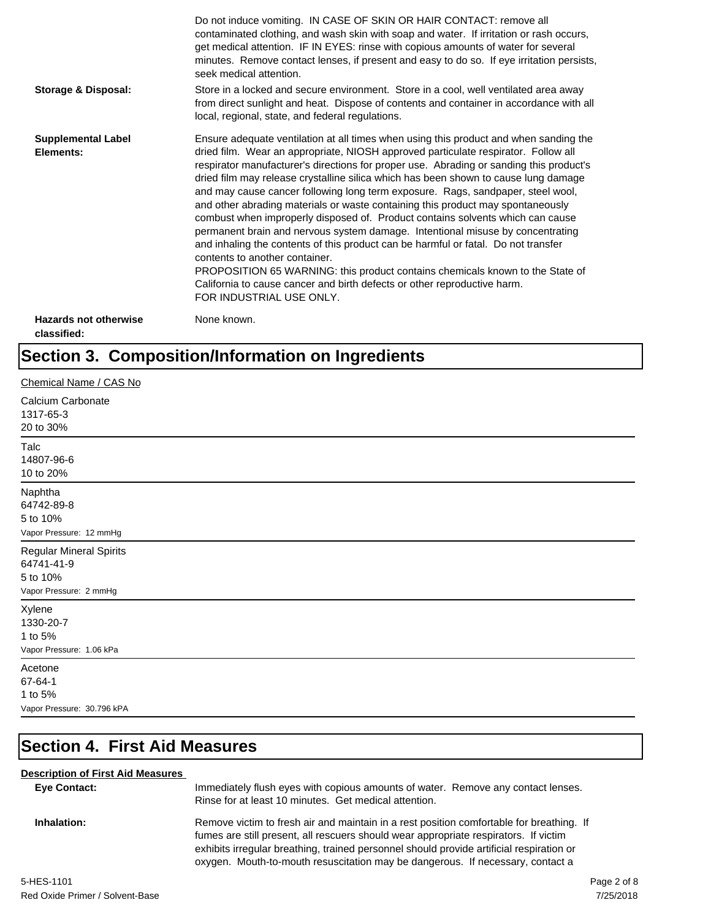|                                             | Do not induce vomiting. IN CASE OF SKIN OR HAIR CONTACT: remove all<br>contaminated clothing, and wash skin with soap and water. If irritation or rash occurs,<br>get medical attention. IF IN EYES: rinse with copious amounts of water for several<br>minutes. Remove contact lenses, if present and easy to do so. If eye irritation persists,<br>seek medical attention.                                                                                                                                                                                                                                                                                                                                                                                                                                                                                                                                                                                                                                             |
|---------------------------------------------|--------------------------------------------------------------------------------------------------------------------------------------------------------------------------------------------------------------------------------------------------------------------------------------------------------------------------------------------------------------------------------------------------------------------------------------------------------------------------------------------------------------------------------------------------------------------------------------------------------------------------------------------------------------------------------------------------------------------------------------------------------------------------------------------------------------------------------------------------------------------------------------------------------------------------------------------------------------------------------------------------------------------------|
| Storage & Disposal:                         | Store in a locked and secure environment. Store in a cool, well ventilated area away<br>from direct sunlight and heat. Dispose of contents and container in accordance with all<br>local, regional, state, and federal regulations.                                                                                                                                                                                                                                                                                                                                                                                                                                                                                                                                                                                                                                                                                                                                                                                      |
| <b>Supplemental Label</b><br>Elements:      | Ensure adequate ventilation at all times when using this product and when sanding the<br>dried film. Wear an appropriate, NIOSH approved particulate respirator. Follow all<br>respirator manufacturer's directions for proper use. Abrading or sanding this product's<br>dried film may release crystalline silica which has been shown to cause lung damage<br>and may cause cancer following long term exposure. Rags, sandpaper, steel wool,<br>and other abrading materials or waste containing this product may spontaneously<br>combust when improperly disposed of. Product contains solvents which can cause<br>permanent brain and nervous system damage. Intentional misuse by concentrating<br>and inhaling the contents of this product can be harmful or fatal. Do not transfer<br>contents to another container.<br>PROPOSITION 65 WARNING: this product contains chemicals known to the State of<br>California to cause cancer and birth defects or other reproductive harm.<br>FOR INDUSTRIAL USE ONLY. |
| <b>Hazards not otherwise</b><br>classified: | None known.                                                                                                                                                                                                                                                                                                                                                                                                                                                                                                                                                                                                                                                                                                                                                                                                                                                                                                                                                                                                              |

## **Section 3. Composition/Information on Ingredients**

| Chemical Name / CAS No                                                             |
|------------------------------------------------------------------------------------|
| Calcium Carbonate<br>1317-65-3<br>20 to 30%                                        |
| Talc<br>14807-96-6<br>10 to 20%                                                    |
| Naphtha<br>64742-89-8<br>5 to 10%<br>Vapor Pressure: 12 mmHg                       |
| <b>Regular Mineral Spirits</b><br>64741-41-9<br>5 to 10%<br>Vapor Pressure: 2 mmHg |
| Xylene<br>1330-20-7<br>1 to 5%<br>Vapor Pressure: 1.06 kPa                         |
| Acetone<br>67-64-1<br>1 to 5%<br>Vapor Pressure: 30.796 kPA                        |

## **Section 4. First Aid Measures**

#### **Description of First Aid Measures**

| <b>Eve Contact:</b> | Immediately flush eyes with copious amounts of water. Remove any contact lenses.<br>Rinse for at least 10 minutes. Get medical attention.                                                                                                                                                                                                                      |  |
|---------------------|----------------------------------------------------------------------------------------------------------------------------------------------------------------------------------------------------------------------------------------------------------------------------------------------------------------------------------------------------------------|--|
| Inhalation:         | Remove victim to fresh air and maintain in a rest position comfortable for breathing. If<br>fumes are still present, all rescuers should wear appropriate respirators. If victim<br>exhibits irregular breathing, trained personnel should provide artificial respiration or<br>oxygen. Mouth-to-mouth resuscitation may be dangerous. If necessary, contact a |  |
| 5-HES-1101          | Page 2 of 8                                                                                                                                                                                                                                                                                                                                                    |  |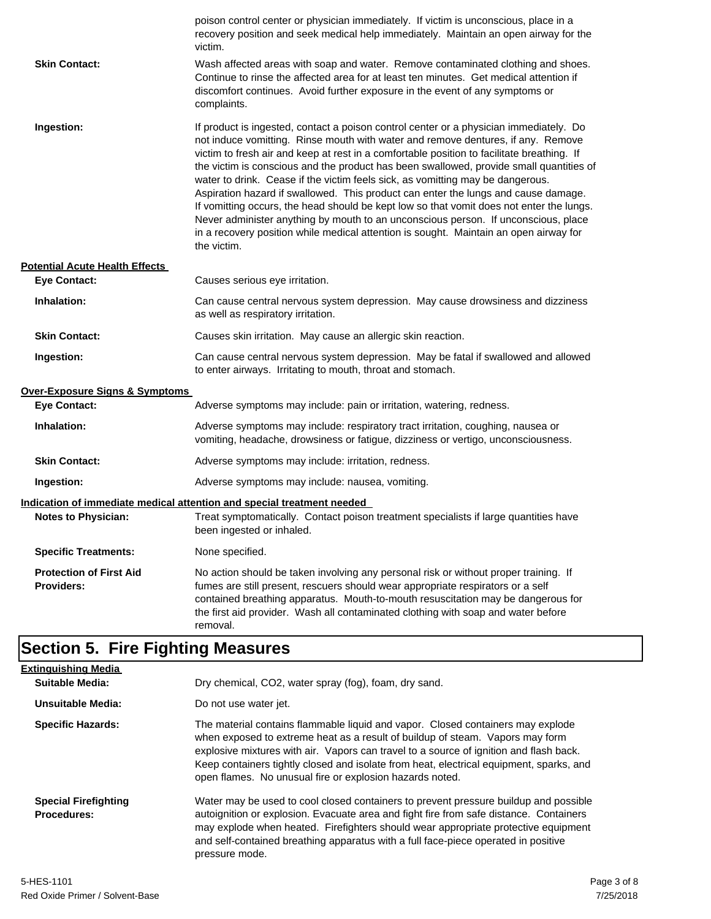|                                                     | poison control center or physician immediately. If victim is unconscious, place in a<br>recovery position and seek medical help immediately. Maintain an open airway for the<br>victim.                                                                                                                                                                                                                                                                                                                                                                                                                                                                                                                                                                                                                                               |
|-----------------------------------------------------|---------------------------------------------------------------------------------------------------------------------------------------------------------------------------------------------------------------------------------------------------------------------------------------------------------------------------------------------------------------------------------------------------------------------------------------------------------------------------------------------------------------------------------------------------------------------------------------------------------------------------------------------------------------------------------------------------------------------------------------------------------------------------------------------------------------------------------------|
| <b>Skin Contact:</b>                                | Wash affected areas with soap and water. Remove contaminated clothing and shoes.<br>Continue to rinse the affected area for at least ten minutes. Get medical attention if<br>discomfort continues. Avoid further exposure in the event of any symptoms or<br>complaints.                                                                                                                                                                                                                                                                                                                                                                                                                                                                                                                                                             |
| Ingestion:                                          | If product is ingested, contact a poison control center or a physician immediately. Do<br>not induce vomitting. Rinse mouth with water and remove dentures, if any. Remove<br>victim to fresh air and keep at rest in a comfortable position to facilitate breathing. If<br>the victim is conscious and the product has been swallowed, provide small quantities of<br>water to drink. Cease if the victim feels sick, as vomitting may be dangerous.<br>Aspiration hazard if swallowed. This product can enter the lungs and cause damage.<br>If vomitting occurs, the head should be kept low so that vomit does not enter the lungs.<br>Never administer anything by mouth to an unconscious person. If unconscious, place<br>in a recovery position while medical attention is sought. Maintain an open airway for<br>the victim. |
| <b>Potential Acute Health Effects</b>               |                                                                                                                                                                                                                                                                                                                                                                                                                                                                                                                                                                                                                                                                                                                                                                                                                                       |
| <b>Eye Contact:</b>                                 | Causes serious eye irritation.                                                                                                                                                                                                                                                                                                                                                                                                                                                                                                                                                                                                                                                                                                                                                                                                        |
| Inhalation:                                         | Can cause central nervous system depression. May cause drowsiness and dizziness<br>as well as respiratory irritation.                                                                                                                                                                                                                                                                                                                                                                                                                                                                                                                                                                                                                                                                                                                 |
| <b>Skin Contact:</b>                                | Causes skin irritation. May cause an allergic skin reaction.                                                                                                                                                                                                                                                                                                                                                                                                                                                                                                                                                                                                                                                                                                                                                                          |
| Ingestion:                                          | Can cause central nervous system depression. May be fatal if swallowed and allowed<br>to enter airways. Irritating to mouth, throat and stomach.                                                                                                                                                                                                                                                                                                                                                                                                                                                                                                                                                                                                                                                                                      |
| Over-Exposure Signs & Symptoms                      |                                                                                                                                                                                                                                                                                                                                                                                                                                                                                                                                                                                                                                                                                                                                                                                                                                       |
| <b>Eye Contact:</b>                                 | Adverse symptoms may include: pain or irritation, watering, redness.                                                                                                                                                                                                                                                                                                                                                                                                                                                                                                                                                                                                                                                                                                                                                                  |
| Inhalation:                                         | Adverse symptoms may include: respiratory tract irritation, coughing, nausea or<br>vomiting, headache, drowsiness or fatigue, dizziness or vertigo, unconsciousness.                                                                                                                                                                                                                                                                                                                                                                                                                                                                                                                                                                                                                                                                  |
| <b>Skin Contact:</b>                                | Adverse symptoms may include: irritation, redness.                                                                                                                                                                                                                                                                                                                                                                                                                                                                                                                                                                                                                                                                                                                                                                                    |
| Ingestion:                                          | Adverse symptoms may include: nausea, vomiting.                                                                                                                                                                                                                                                                                                                                                                                                                                                                                                                                                                                                                                                                                                                                                                                       |
|                                                     | Indication of immediate medical attention and special treatment needed                                                                                                                                                                                                                                                                                                                                                                                                                                                                                                                                                                                                                                                                                                                                                                |
| <b>Notes to Physician:</b>                          | Treat symptomatically. Contact poison treatment specialists if large quantities have<br>been ingested or inhaled.                                                                                                                                                                                                                                                                                                                                                                                                                                                                                                                                                                                                                                                                                                                     |
| <b>Specific Treatments:</b>                         | None specified.                                                                                                                                                                                                                                                                                                                                                                                                                                                                                                                                                                                                                                                                                                                                                                                                                       |
| <b>Protection of First Aid</b><br><b>Providers:</b> | No action should be taken involving any personal risk or without proper training. If<br>fumes are still present, rescuers should wear appropriate respirators or a self<br>contained breathing apparatus. Mouth-to-mouth resuscitation may be dangerous for<br>the first aid provider. Wash all contaminated clothing with soap and water before<br>removal.                                                                                                                                                                                                                                                                                                                                                                                                                                                                          |
| <b>Section 5. Fire Fighting Measures</b>            |                                                                                                                                                                                                                                                                                                                                                                                                                                                                                                                                                                                                                                                                                                                                                                                                                                       |
|                                                     |                                                                                                                                                                                                                                                                                                                                                                                                                                                                                                                                                                                                                                                                                                                                                                                                                                       |
| <b>Extinguishing Media</b>                          |                                                                                                                                                                                                                                                                                                                                                                                                                                                                                                                                                                                                                                                                                                                                                                                                                                       |

| Suitable Media:                                   | Dry chemical, CO2, water spray (fog), foam, dry sand.                                                                                                                                                                                                                                                                                                                                                             |
|---------------------------------------------------|-------------------------------------------------------------------------------------------------------------------------------------------------------------------------------------------------------------------------------------------------------------------------------------------------------------------------------------------------------------------------------------------------------------------|
| Unsuitable Media:                                 | Do not use water jet.                                                                                                                                                                                                                                                                                                                                                                                             |
| <b>Specific Hazards:</b>                          | The material contains flammable liquid and vapor. Closed containers may explode<br>when exposed to extreme heat as a result of buildup of steam. Vapors may form<br>explosive mixtures with air. Vapors can travel to a source of ignition and flash back.<br>Keep containers tightly closed and isolate from heat, electrical equipment, sparks, and<br>open flames. No unusual fire or explosion hazards noted. |
| <b>Special Firefighting</b><br><b>Procedures:</b> | Water may be used to cool closed containers to prevent pressure buildup and possible<br>autoignition or explosion. Evacuate area and fight fire from safe distance. Containers<br>may explode when heated. Firefighters should wear appropriate protective equipment<br>and self-contained breathing apparatus with a full face-piece operated in positive<br>pressure mode.                                      |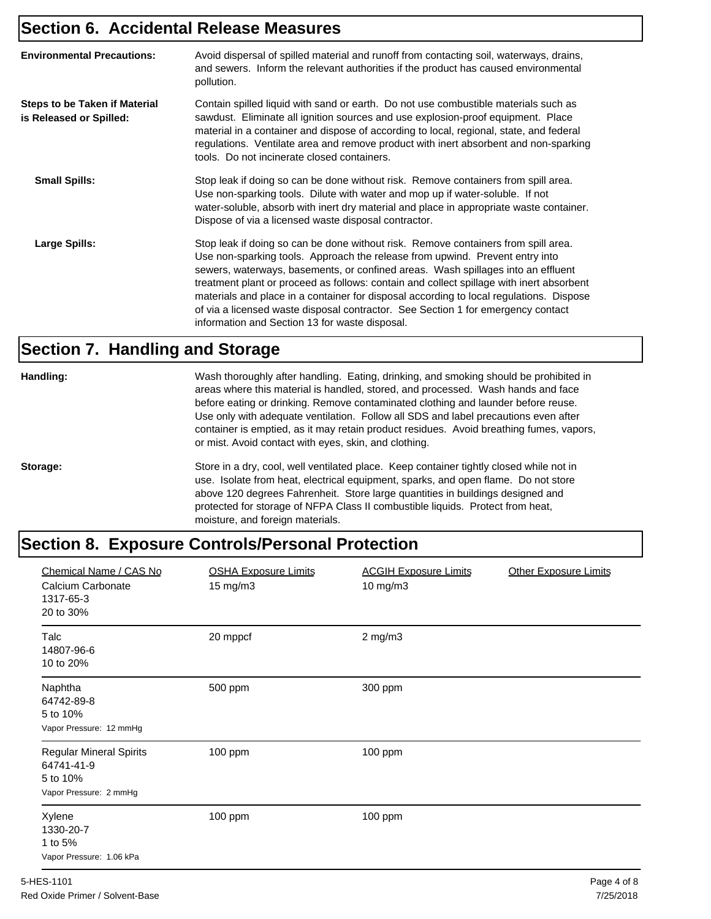#### **Section 6. Accidental Release Measures**

| <b>Environmental Precautions:</b>                               | Avoid dispersal of spilled material and runoff from contacting soil, waterways, drains,<br>and sewers. Inform the relevant authorities if the product has caused environmental<br>pollution.                                                                                                                                                                                                                                                                                                                                                                                        |
|-----------------------------------------------------------------|-------------------------------------------------------------------------------------------------------------------------------------------------------------------------------------------------------------------------------------------------------------------------------------------------------------------------------------------------------------------------------------------------------------------------------------------------------------------------------------------------------------------------------------------------------------------------------------|
| <b>Steps to be Taken if Material</b><br>is Released or Spilled: | Contain spilled liquid with sand or earth. Do not use combustible materials such as<br>sawdust. Eliminate all ignition sources and use explosion-proof equipment. Place<br>material in a container and dispose of according to local, regional, state, and federal<br>regulations. Ventilate area and remove product with inert absorbent and non-sparking<br>tools. Do not incinerate closed containers.                                                                                                                                                                           |
| <b>Small Spills:</b>                                            | Stop leak if doing so can be done without risk. Remove containers from spill area.<br>Use non-sparking tools. Dilute with water and mop up if water-soluble. If not<br>water-soluble, absorb with inert dry material and place in appropriate waste container.<br>Dispose of via a licensed waste disposal contractor.                                                                                                                                                                                                                                                              |
| <b>Large Spills:</b>                                            | Stop leak if doing so can be done without risk. Remove containers from spill area.<br>Use non-sparking tools. Approach the release from upwind. Prevent entry into<br>sewers, waterways, basements, or confined areas. Wash spillages into an effluent<br>treatment plant or proceed as follows: contain and collect spillage with inert absorbent<br>materials and place in a container for disposal according to local regulations. Dispose<br>of via a licensed waste disposal contractor. See Section 1 for emergency contact<br>information and Section 13 for waste disposal. |

#### **Section 7. Handling and Storage**

**Handling:** Wash thoroughly after handling. Eating, drinking, and smoking should be prohibited in areas where this material is handled, stored, and processed. Wash hands and face before eating or drinking. Remove contaminated clothing and launder before reuse. Use only with adequate ventilation. Follow all SDS and label precautions even after container is emptied, as it may retain product residues. Avoid breathing fumes, vapors, or mist. Avoid contact with eyes, skin, and clothing.

**Storage:** Store in a dry, cool, well ventilated place. Keep container tightly closed while not in use. Isolate from heat, electrical equipment, sparks, and open flame. Do not store above 120 degrees Fahrenheit. Store large quantities in buildings designed and protected for storage of NFPA Class II combustible liquids. Protect from heat, moisture, and foreign materials.

### **Section 8. Exposure Controls/Personal Protection**

| <b>OSHA Exposure Limits</b><br>15 mg/m3 | <b>ACGIH Exposure Limits</b><br>10 mg/m3 | <b>Other Exposure Limits</b> |
|-----------------------------------------|------------------------------------------|------------------------------|
| 20 mppcf                                | $2$ mg/m $3$                             |                              |
| 500 ppm                                 | 300 ppm                                  |                              |
| 100 ppm                                 | 100 ppm                                  |                              |
| 100 ppm                                 | 100 ppm                                  |                              |
|                                         |                                          |                              |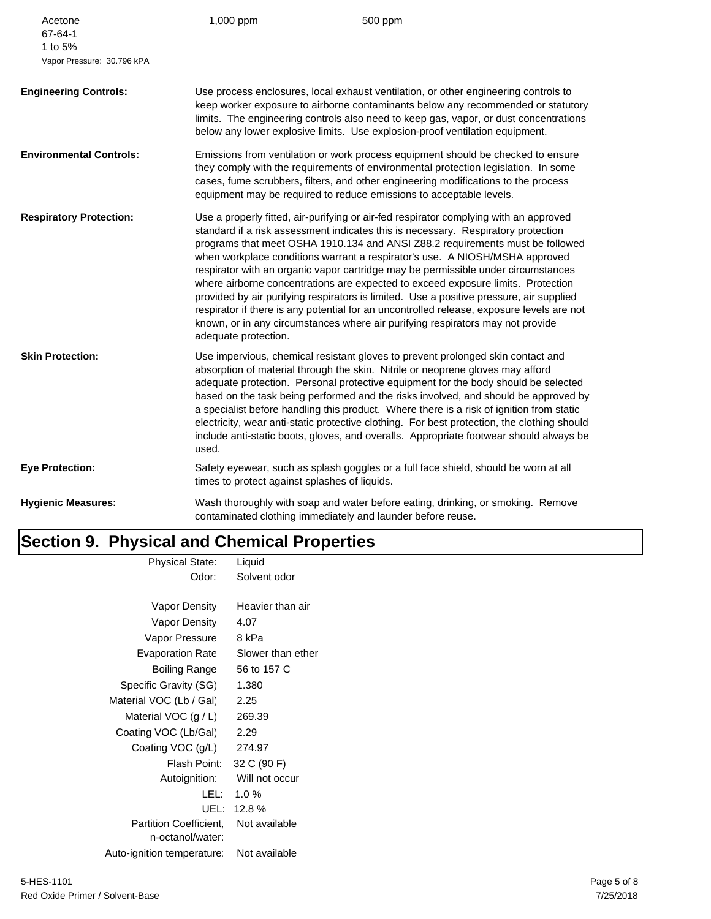| 67-64-1<br>1 to 5%<br>Vapor Pressure: 30.796 kPA |                                                                                                                                                                                                                                                                                                                                                                                                                                                                                                                                                                                                                                                                                                                                                                                                                       |
|--------------------------------------------------|-----------------------------------------------------------------------------------------------------------------------------------------------------------------------------------------------------------------------------------------------------------------------------------------------------------------------------------------------------------------------------------------------------------------------------------------------------------------------------------------------------------------------------------------------------------------------------------------------------------------------------------------------------------------------------------------------------------------------------------------------------------------------------------------------------------------------|
| <b>Engineering Controls:</b>                     | Use process enclosures, local exhaust ventilation, or other engineering controls to<br>keep worker exposure to airborne contaminants below any recommended or statutory<br>limits. The engineering controls also need to keep gas, vapor, or dust concentrations<br>below any lower explosive limits. Use explosion-proof ventilation equipment.                                                                                                                                                                                                                                                                                                                                                                                                                                                                      |
| <b>Environmental Controls:</b>                   | Emissions from ventilation or work process equipment should be checked to ensure<br>they comply with the requirements of environmental protection legislation. In some<br>cases, fume scrubbers, filters, and other engineering modifications to the process<br>equipment may be required to reduce emissions to acceptable levels.                                                                                                                                                                                                                                                                                                                                                                                                                                                                                   |
| <b>Respiratory Protection:</b>                   | Use a properly fitted, air-purifying or air-fed respirator complying with an approved<br>standard if a risk assessment indicates this is necessary. Respiratory protection<br>programs that meet OSHA 1910.134 and ANSI Z88.2 requirements must be followed<br>when workplace conditions warrant a respirator's use. A NIOSH/MSHA approved<br>respirator with an organic vapor cartridge may be permissible under circumstances<br>where airborne concentrations are expected to exceed exposure limits. Protection<br>provided by air purifying respirators is limited. Use a positive pressure, air supplied<br>respirator if there is any potential for an uncontrolled release, exposure levels are not<br>known, or in any circumstances where air purifying respirators may not provide<br>adequate protection. |
| <b>Skin Protection:</b>                          | Use impervious, chemical resistant gloves to prevent prolonged skin contact and<br>absorption of material through the skin. Nitrile or neoprene gloves may afford<br>adequate protection. Personal protective equipment for the body should be selected<br>based on the task being performed and the risks involved, and should be approved by<br>a specialist before handling this product. Where there is a risk of ignition from static<br>electricity, wear anti-static protective clothing. For best protection, the clothing should<br>include anti-static boots, gloves, and overalls. Appropriate footwear should always be<br>used.                                                                                                                                                                          |
| <b>Eye Protection:</b>                           | Safety eyewear, such as splash goggles or a full face shield, should be worn at all<br>times to protect against splashes of liquids.                                                                                                                                                                                                                                                                                                                                                                                                                                                                                                                                                                                                                                                                                  |
| <b>Hygienic Measures:</b>                        | Wash thoroughly with soap and water before eating, drinking, or smoking. Remove<br>contaminated clothing immediately and launder before reuse.                                                                                                                                                                                                                                                                                                                                                                                                                                                                                                                                                                                                                                                                        |

## **Section 9. Physical and Chemical Properties**

| Physical State:                            | Liquid            |
|--------------------------------------------|-------------------|
| Odor:                                      | Solvent odor      |
| Vapor Density                              | Heavier than air  |
| Vapor Density                              | 4.07              |
| Vapor Pressure                             | 8 kPa             |
| <b>Evaporation Rate</b>                    | Slower than ether |
| Boiling Range                              | 56 to 157 C       |
| Specific Gravity (SG)                      | 1.380             |
| Material VOC (Lb / Gal)                    | 2.25              |
| Material VOC $(g / L)$                     | 269.39            |
| Coating VOC (Lb/Gal)                       | 2.29              |
| Coating VOC (g/L)                          | 274.97            |
| Flash Point:                               | 32 C (90 F)       |
| Autoignition:                              | Will not occur    |
| LEL: I                                     | 1.0%              |
| UEL:                                       | 12.8%             |
| Partition Coefficient.<br>n-octanol/water: | Not available     |
| Auto-ignition temperature:                 | Not available     |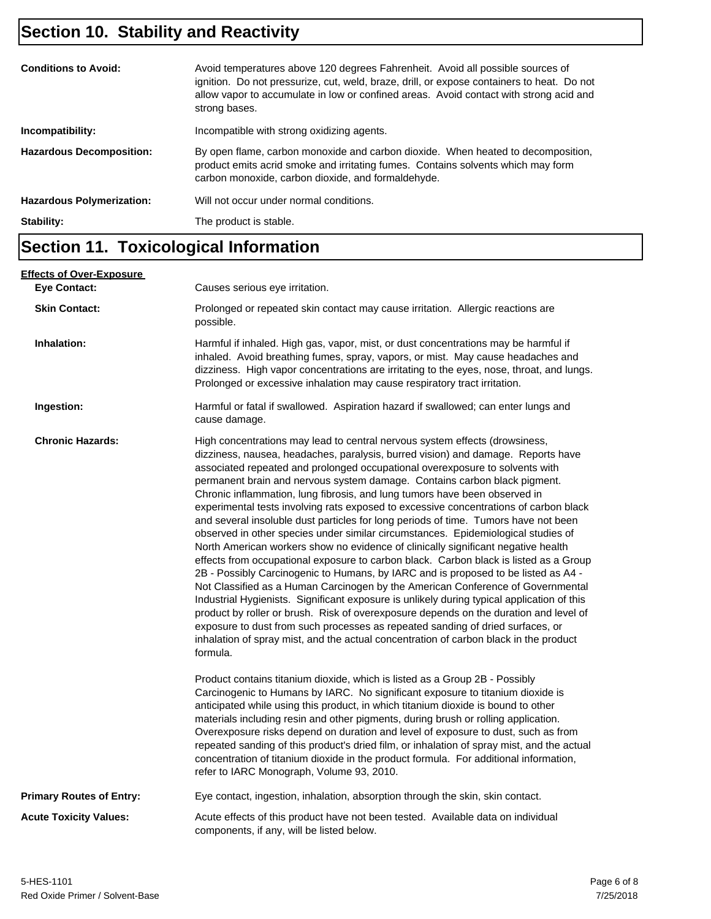## **Section 10. Stability and Reactivity**

| <b>Conditions to Avoid:</b>      | Avoid temperatures above 120 degrees Fahrenheit. Avoid all possible sources of<br>ignition. Do not pressurize, cut, weld, braze, drill, or expose containers to heat. Do not<br>allow vapor to accumulate in low or confined areas. Avoid contact with strong acid and<br>strong bases. |
|----------------------------------|-----------------------------------------------------------------------------------------------------------------------------------------------------------------------------------------------------------------------------------------------------------------------------------------|
| Incompatibility:                 | Incompatible with strong oxidizing agents.                                                                                                                                                                                                                                              |
| <b>Hazardous Decomposition:</b>  | By open flame, carbon monoxide and carbon dioxide. When heated to decomposition,<br>product emits acrid smoke and irritating fumes. Contains solvents which may form<br>carbon monoxide, carbon dioxide, and formaldehyde.                                                              |
| <b>Hazardous Polymerization:</b> | Will not occur under normal conditions.                                                                                                                                                                                                                                                 |
| Stability:                       | The product is stable.                                                                                                                                                                                                                                                                  |

## **Section 11. Toxicological Information**

| <b>Effects of Over-Exposure</b><br><b>Eye Contact:</b> | Causes serious eye irritation.                                                                                                                                                                                                                                                                                                                                                                                                                                                                                                                                                                                                                                                                                                                                                                                                                                                                                                                                                                                                                                                                                                                                                                                                                                                                                                                                                                                       |
|--------------------------------------------------------|----------------------------------------------------------------------------------------------------------------------------------------------------------------------------------------------------------------------------------------------------------------------------------------------------------------------------------------------------------------------------------------------------------------------------------------------------------------------------------------------------------------------------------------------------------------------------------------------------------------------------------------------------------------------------------------------------------------------------------------------------------------------------------------------------------------------------------------------------------------------------------------------------------------------------------------------------------------------------------------------------------------------------------------------------------------------------------------------------------------------------------------------------------------------------------------------------------------------------------------------------------------------------------------------------------------------------------------------------------------------------------------------------------------------|
| <b>Skin Contact:</b>                                   | Prolonged or repeated skin contact may cause irritation. Allergic reactions are<br>possible.                                                                                                                                                                                                                                                                                                                                                                                                                                                                                                                                                                                                                                                                                                                                                                                                                                                                                                                                                                                                                                                                                                                                                                                                                                                                                                                         |
| Inhalation:                                            | Harmful if inhaled. High gas, vapor, mist, or dust concentrations may be harmful if<br>inhaled. Avoid breathing fumes, spray, vapors, or mist. May cause headaches and<br>dizziness. High vapor concentrations are irritating to the eyes, nose, throat, and lungs.<br>Prolonged or excessive inhalation may cause respiratory tract irritation.                                                                                                                                                                                                                                                                                                                                                                                                                                                                                                                                                                                                                                                                                                                                                                                                                                                                                                                                                                                                                                                                     |
| Ingestion:                                             | Harmful or fatal if swallowed. Aspiration hazard if swallowed; can enter lungs and<br>cause damage.                                                                                                                                                                                                                                                                                                                                                                                                                                                                                                                                                                                                                                                                                                                                                                                                                                                                                                                                                                                                                                                                                                                                                                                                                                                                                                                  |
| <b>Chronic Hazards:</b>                                | High concentrations may lead to central nervous system effects (drowsiness,<br>dizziness, nausea, headaches, paralysis, burred vision) and damage. Reports have<br>associated repeated and prolonged occupational overexposure to solvents with<br>permanent brain and nervous system damage. Contains carbon black pigment.<br>Chronic inflammation, lung fibrosis, and lung tumors have been observed in<br>experimental tests involving rats exposed to excessive concentrations of carbon black<br>and several insoluble dust particles for long periods of time. Tumors have not been<br>observed in other species under similar circumstances. Epidemiological studies of<br>North American workers show no evidence of clinically significant negative health<br>effects from occupational exposure to carbon black. Carbon black is listed as a Group<br>2B - Possibly Carcinogenic to Humans, by IARC and is proposed to be listed as A4 -<br>Not Classified as a Human Carcinogen by the American Conference of Governmental<br>Industrial Hygienists. Significant exposure is unlikely during typical application of this<br>product by roller or brush. Risk of overexposure depends on the duration and level of<br>exposure to dust from such processes as repeated sanding of dried surfaces, or<br>inhalation of spray mist, and the actual concentration of carbon black in the product<br>formula. |
|                                                        | Product contains titanium dioxide, which is listed as a Group 2B - Possibly<br>Carcinogenic to Humans by IARC. No significant exposure to titanium dioxide is<br>anticipated while using this product, in which titanium dioxide is bound to other<br>materials including resin and other pigments, during brush or rolling application.<br>Overexposure risks depend on duration and level of exposure to dust, such as from<br>repeated sanding of this product's dried film, or inhalation of spray mist, and the actual<br>concentration of titanium dioxide in the product formula. For additional information,<br>refer to IARC Monograph, Volume 93, 2010.                                                                                                                                                                                                                                                                                                                                                                                                                                                                                                                                                                                                                                                                                                                                                    |
| <b>Primary Routes of Entry:</b>                        | Eye contact, ingestion, inhalation, absorption through the skin, skin contact.                                                                                                                                                                                                                                                                                                                                                                                                                                                                                                                                                                                                                                                                                                                                                                                                                                                                                                                                                                                                                                                                                                                                                                                                                                                                                                                                       |
| <b>Acute Toxicity Values:</b>                          | Acute effects of this product have not been tested. Available data on individual<br>components, if any, will be listed below.                                                                                                                                                                                                                                                                                                                                                                                                                                                                                                                                                                                                                                                                                                                                                                                                                                                                                                                                                                                                                                                                                                                                                                                                                                                                                        |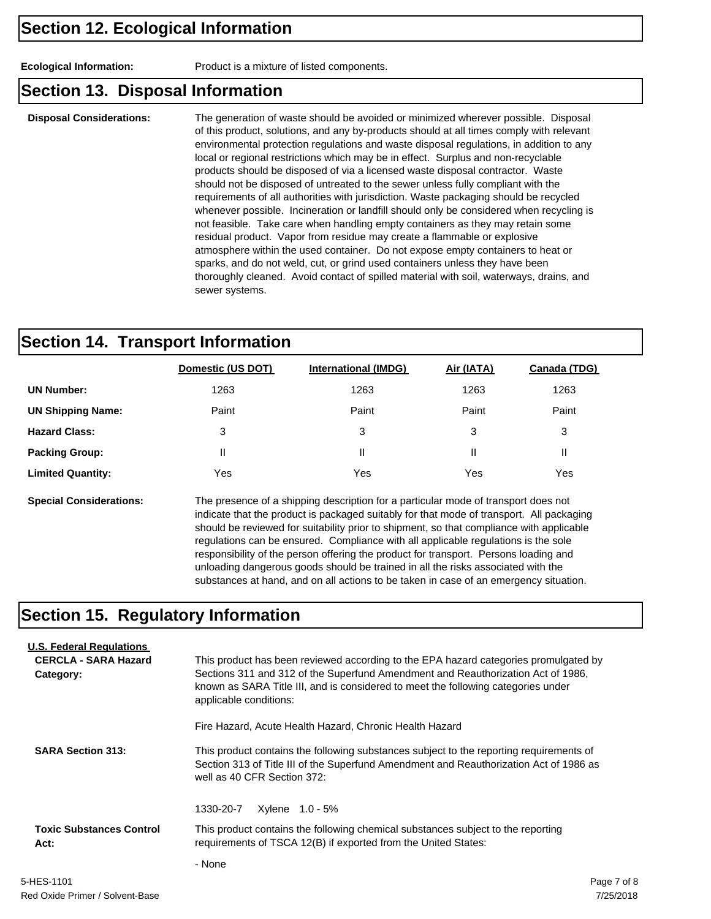**Ecological Information:** Product is a mixture of listed components.

#### **Section 13. Disposal Information**

**Disposal Considerations:** The generation of waste should be avoided or minimized wherever possible. Disposal of this product, solutions, and any by-products should at all times comply with relevant environmental protection regulations and waste disposal regulations, in addition to any local or regional restrictions which may be in effect. Surplus and non-recyclable products should be disposed of via a licensed waste disposal contractor. Waste should not be disposed of untreated to the sewer unless fully compliant with the requirements of all authorities with jurisdiction. Waste packaging should be recycled whenever possible. Incineration or landfill should only be considered when recycling is not feasible. Take care when handling empty containers as they may retain some residual product. Vapor from residue may create a flammable or explosive atmosphere within the used container. Do not expose empty containers to heat or sparks, and do not weld, cut, or grind used containers unless they have been thoroughly cleaned. Avoid contact of spilled material with soil, waterways, drains, and sewer systems.

#### **Section 14. Transport Information**

|                          | Domestic (US DOT) | <b>International (IMDG)</b> | Air (IATA) | Canada (TDG) |
|--------------------------|-------------------|-----------------------------|------------|--------------|
| <b>UN Number:</b>        | 1263              | 1263                        | 1263       | 1263         |
| <b>UN Shipping Name:</b> | Paint             | Paint                       | Paint      | Paint        |
| <b>Hazard Class:</b>     | 3                 | 3                           | 3          | 3            |
| <b>Packing Group:</b>    | Ш                 |                             | Ш          | Ш            |
| <b>Limited Quantity:</b> | Yes               | Yes                         | Yes        | Yes          |

**Special Considerations:** The presence of a shipping description for a particular mode of transport does not indicate that the product is packaged suitably for that mode of transport. All packaging should be reviewed for suitability prior to shipment, so that compliance with applicable regulations can be ensured. Compliance with all applicable regulations is the sole responsibility of the person offering the product for transport. Persons loading and unloading dangerous goods should be trained in all the risks associated with the substances at hand, and on all actions to be taken in case of an emergency situation.

### **Section 15. Regulatory Information**

| <b>U.S. Federal Regulations</b>         |                                                                                                                                                                                                                                                            |             |  |  |
|-----------------------------------------|------------------------------------------------------------------------------------------------------------------------------------------------------------------------------------------------------------------------------------------------------------|-------------|--|--|
| <b>CERCLA - SARA Hazard</b>             | This product has been reviewed according to the EPA hazard categories promulgated by                                                                                                                                                                       |             |  |  |
| Category:                               | Sections 311 and 312 of the Superfund Amendment and Reauthorization Act of 1986,<br>known as SARA Title III, and is considered to meet the following categories under<br>applicable conditions:<br>Fire Hazard, Acute Health Hazard, Chronic Health Hazard |             |  |  |
|                                         |                                                                                                                                                                                                                                                            |             |  |  |
| <b>SARA Section 313:</b>                | This product contains the following substances subject to the reporting requirements of<br>Section 313 of Title III of the Superfund Amendment and Reauthorization Act of 1986 as<br>well as 40 CFR Section 372:                                           |             |  |  |
|                                         | 1330-20-7<br>Xylene 1.0 - 5%                                                                                                                                                                                                                               |             |  |  |
| <b>Toxic Substances Control</b><br>Act: | This product contains the following chemical substances subject to the reporting<br>requirements of TSCA 12(B) if exported from the United States:                                                                                                         |             |  |  |
|                                         | - None                                                                                                                                                                                                                                                     |             |  |  |
| 5-HES-1101                              |                                                                                                                                                                                                                                                            | Page 7 of 8 |  |  |